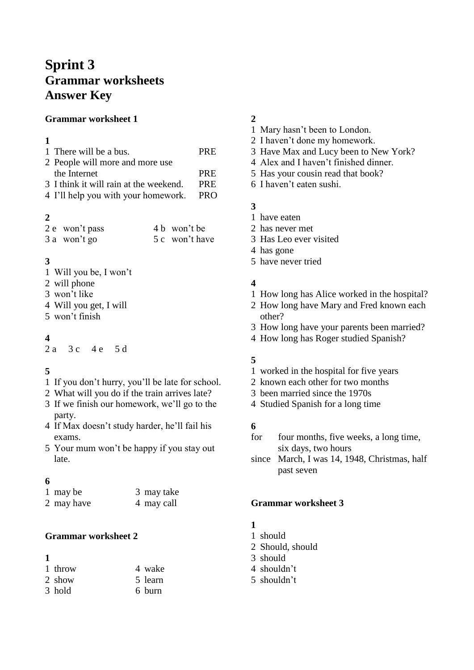# **Sprint 3 Grammar worksheets Answer Key**

#### **Grammar worksheet 1**

#### 

| 1 There will be a bus.                 | <b>PRE</b> |
|----------------------------------------|------------|
| 2 People will more and more use        |            |
| the Internet                           | <b>PRE</b> |
| 3 I think it will rain at the weekend. | <b>PRE</b> |
| 4 I'll help you with your homework.    | <b>PRO</b> |
|                                        |            |

# 

| 2 e won't pass | 4 b won't be   |
|----------------|----------------|
| 3 a won't go   | 5 c won't have |

# 

- Will you be, I won't
- will phone
- won't like
- Will you get, I will
- won't finish

# 

2 a 3 c 4 e 5 d

# 

- If you don't hurry, you'll be late for school.
- What will you do if the train arrives late?
- If we finish our homework, we'll go to the party.
- If Max doesn't study harder, he'll fail his exams.
- Your mum won't be happy if you stay out late.

#### 

| 1 may be   | 3 may take |
|------------|------------|
| 2 may have | 4 may call |

# **Grammar worksheet 2**

# 

| 1 throw | 4 wake  |
|---------|---------|
| 2 show  | 5 learn |
| 3 hold  | 6 burn  |

# 

- Mary hasn't been to London.
- I haven't done my homework.
- Have Max and Lucy been to New York?
- Alex and I haven't finished dinner.
- Has your cousin read that book?
- I haven't eaten sushi.

# 

- have eaten
- has never met
- Has Leo ever visited
- has gone
- have never tried

### 

- How long has Alice worked in the hospital?
- How long have Mary and Fred known each other?
- How long have your parents been married?
- How long has Roger studied Spanish?

#### 

- worked in the hospital for five years
- known each other for two months
- been married since the 1970s
- Studied Spanish for a long time

#### 

- for four months, five weeks, a long time, six days, two hours
- since March, I was 14, 1948, Christmas, half past seven

#### **Grammar worksheet 3**

#### 

- should
- Should, should
- should
- shouldn't
- shouldn't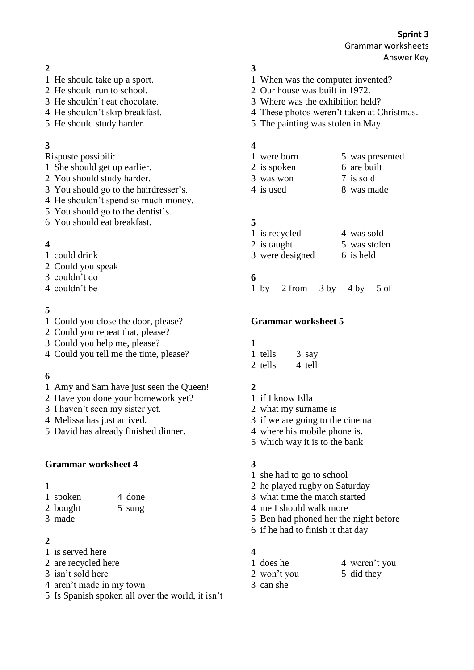Answer Key

# 

- He should take up a sport.
- He should run to school.
- He shouldn't eat chocolate.
- He shouldn't skip breakfast.
- He should study harder.

# 

Risposte possibili:

- She should get up earlier.
- You should study harder.
- You should go to the hairdresser's.
- He shouldn't spend so much money.
- You should go to the dentist's.
- You should eat breakfast.

# 

- could drink
- Could you speak
- couldn't do
- couldn't be

### 

- Could you close the door, please?
- Could you repeat that, please?
- Could you help me, please?
- Could you tell me the time, please?

# 

- Amy and Sam have just seen the Queen!
- Have you done your homework yet?
- I haven't seen my sister yet.
- Melissa has just arrived.
- David has already finished dinner.

#### **Grammar worksheet 4**

#### 

| 1 spoken | 4 done |
|----------|--------|
| 2 bought | 5 sung |

- 
- made

# 

- is served here
- are recycled here
- isn't sold here
- aren't made in my town
- Is Spanish spoken all over the world, it isn't

# 

- When was the computer invented?
- Our house was built in 1972.
- Where was the exhibition held?
- These photos weren't taken at Christmas.
- The painting was stolen in May.

### 

- were born 5 was presented
- 2 is spoken 6 are built
- was won 7 is sold
- 4 is used 8 was made

# 

1 is recycled 4 was sold 2 is taught 5 was stolen 3 were designed 6 is held

# 

by 2 from 3 by 4 by 5 of

#### **Grammar worksheet 5**

#### 

1 tells 3 say 2 tells 4 tell

# 

- if I know Ella
- what my surname is
- if we are going to the cinema
- where his mobile phone is.
- which way it is to the bank

# 

- she had to go to school
- he played rugby on Saturday
- what time the match started
- me I should walk more
- Ben had phoned her the night before
- if he had to finish it that day

#### 

- 1 does he 4 weren't you
- 2 won't you 5 did they
- can she
- 
- 
- 
- 
-